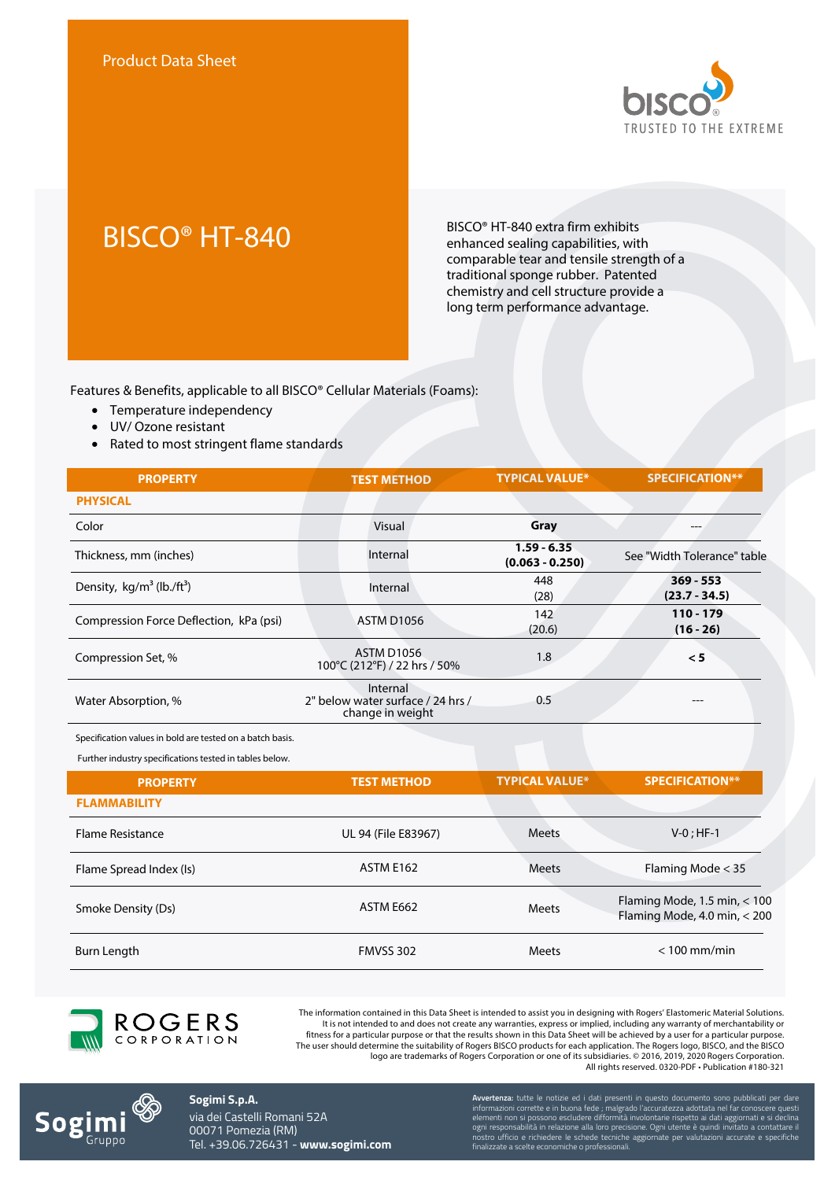

BISCO<sup>®</sup> HT-840 BISCO® HT-840 extra firm exhibits enhanced sealing capabilities, with enhanced sealing capabilities, with comparable tear and tensile strength of a traditional sponge rubber. Patented chemistry and cell structure provide a long term performance advantage.

Features & Benefits, applicable to all BISCO® Cellular Materials (Foams):

- Temperature independency
- UV/ Ozone resistant
- Rated to most stringent flame standards

| <b>PROPERTY</b>                                   | <b>TEST METHOD</b>                                                | <b>TYPICAL VALUE*</b>              | <b>SPECIFICATION**</b>         |
|---------------------------------------------------|-------------------------------------------------------------------|------------------------------------|--------------------------------|
| <b>PHYSICAL</b>                                   |                                                                   |                                    |                                |
| Color                                             | Visual                                                            | Gray                               |                                |
| Thickness, mm (inches)                            | Internal                                                          | $1.59 - 6.35$<br>$(0.063 - 0.250)$ | See "Width Tolerance" table    |
| Density, kg/m <sup>3</sup> (lb./ft <sup>3</sup> ) | Internal                                                          | 448<br>(28)                        | $369 - 553$<br>$(23.7 - 34.5)$ |
| Compression Force Deflection, kPa (psi)           | <b>ASTM D1056</b>                                                 | 142<br>(20.6)                      | $110 - 179$<br>$(16 - 26)$     |
| Compression Set, %                                | <b>ASTM D1056</b><br>100°C (212°F) / 22 hrs / 50%                 | 1.8                                | $\leq$ 5                       |
| Water Absorption, %                               | Internal<br>2" below water surface / 24 hrs /<br>change in weight | 0.5                                | ---                            |

Specification values in bold are tested on a batch basis.

Further industry specifications tested in tables below.

| <b>PROPERTY</b>         | <b>TEST METHOD</b>  | <b>TYPICAL VALUE*</b> | <b>SPECIFICATION**</b>                                       |
|-------------------------|---------------------|-----------------------|--------------------------------------------------------------|
| <b>FLAMMABILITY</b>     |                     |                       |                                                              |
| <b>Flame Resistance</b> | UL 94 (File E83967) | <b>Meets</b>          | $V-0$ ; HF-1                                                 |
| Flame Spread Index (Is) | ASTM E162           | <b>Meets</b>          | Flaming Mode < 35                                            |
| Smoke Density (Ds)      | ASTM E662           | <b>Meets</b>          | Flaming Mode, 1.5 min, < 100<br>Flaming Mode, 4.0 min, < 200 |
| Burn Length             | <b>FMVSS 302</b>    | <b>Meets</b>          | $< 100$ mm/min                                               |



The information contained in this Data Sheet is intended to assist you in designing with Rogers' Elastomeric Material Solutions. It is not intended to and does not create any warranties, express or implied, including any warranty of merchantability or fitness for a particular purpose or that the results shown in this Data Sheet will be achieved by a user for a particular purpose. The user should determine the suitability of Rogers BISCO products for each application. The Rogers logo, BISCO, and the BISCO<br>logo are trademarks of Rogers Corporation or one of its subsidiaries. © 2016, 2019, 2020 Rogers All rights reserved. 0320-PDF • Publication #180-321



**Sogimi S.p.A.** via dei Castelli Romani 52A 00071 Pomezia (RM) Tel. +39.06.726431 - **www.sogimi.com** **Avvertenza:** tutte le notizie ed i dati presenti in questo documento sono pubblicati per dare<br>informazioni corrette e in buona fede ; malgrado l'accuratezza adottata nel far conoscere questi<br>elementi non si possono esclud ogni responsabilità in relazione alla loro precisione. Ogni utente è quindi invitato a contattare il nostro ufficio e richiedere le schede tecniche aggiornate per valutazioni accurate e specifiche finalizzate a scelte economiche o professionali.